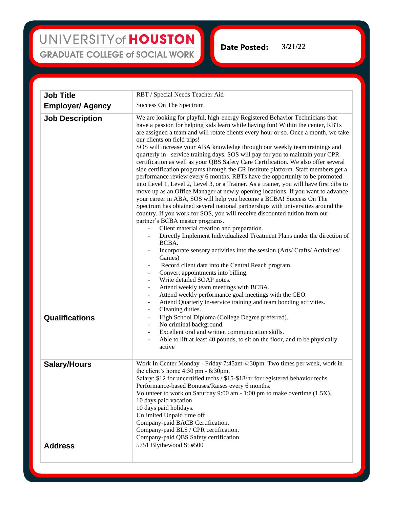## UNIVERSITY of HOUSTON **GRADUATE COLLEGE of SOCIAL WORK**

**3/21/22Date Posted:** 

| <b>Job Title</b>        | RBT / Special Needs Teacher Aid                                                                                                                                                                                                                                                                                                                                                                                                                                                                                                                                                                                                                                                                                                                                                                                                                                                                                                                                                                                                                                                                                                                                                                                                                                                                                                                                                                                                                                                                                                                                                                                                                                                                                                                                 |
|-------------------------|-----------------------------------------------------------------------------------------------------------------------------------------------------------------------------------------------------------------------------------------------------------------------------------------------------------------------------------------------------------------------------------------------------------------------------------------------------------------------------------------------------------------------------------------------------------------------------------------------------------------------------------------------------------------------------------------------------------------------------------------------------------------------------------------------------------------------------------------------------------------------------------------------------------------------------------------------------------------------------------------------------------------------------------------------------------------------------------------------------------------------------------------------------------------------------------------------------------------------------------------------------------------------------------------------------------------------------------------------------------------------------------------------------------------------------------------------------------------------------------------------------------------------------------------------------------------------------------------------------------------------------------------------------------------------------------------------------------------------------------------------------------------|
| <b>Employer/ Agency</b> | Success On The Spectrum                                                                                                                                                                                                                                                                                                                                                                                                                                                                                                                                                                                                                                                                                                                                                                                                                                                                                                                                                                                                                                                                                                                                                                                                                                                                                                                                                                                                                                                                                                                                                                                                                                                                                                                                         |
| <b>Job Description</b>  | We are looking for playful, high-energy Registered Behavior Technicians that<br>have a passion for helping kids learn while having fun! Within the center, RBTs<br>are assigned a team and will rotate clients every hour or so. Once a month, we take<br>our clients on field trips!<br>SOS will increase your ABA knowledge through our weekly team trainings and<br>quarterly in service training days. SOS will pay for you to maintain your CPR<br>certification as well as your QBS Safety Care Certification. We also offer several<br>side certification programs through the CR Institute platform. Staff members get a<br>performance review every 6 months. RBTs have the opportunity to be promoted<br>into Level 1, Level 2, Level 3, or a Trainer. As a trainer, you will have first dibs to<br>move up as an Office Manager at newly opening locations. If you want to advance<br>your career in ABA, SOS will help you become a BCBA! Success On The<br>Spectrum has obtained several national partnerships with universities around the<br>country. If you work for SOS, you will receive discounted tuition from our<br>partner's BCBA master programs.<br>Client material creation and preparation.<br>Directly Implement Individualized Treatment Plans under the direction of<br>BCBA.<br>Incorporate sensory activities into the session (Arts/ Crafts/ Activities/<br>Games)<br>Record client data into the Central Reach program.<br>Convert appointments into billing.<br>Write detailed SOAP notes.<br>Attend weekly team meetings with BCBA.<br>Attend weekly performance goal meetings with the CEO.<br>٠<br>Attend Quarterly in-service training and team bonding activities.<br>$\overline{\phantom{a}}$<br>Cleaning duties.<br>- |
| Qualifications          | High School Diploma (College Degree preferred).<br>$\overline{\phantom{a}}$<br>No criminal background.<br>$\qquad \qquad \blacksquare$<br>Excellent oral and written communication skills.<br>Able to lift at least 40 pounds, to sit on the floor, and to be physically<br>active                                                                                                                                                                                                                                                                                                                                                                                                                                                                                                                                                                                                                                                                                                                                                                                                                                                                                                                                                                                                                                                                                                                                                                                                                                                                                                                                                                                                                                                                              |
| <b>Salary/Hours</b>     | Work In Center Monday - Friday 7:45am-4:30pm. Two times per week, work in<br>the client's home $4:30 \text{ pm} - 6:30 \text{ pm}$ .<br>Salary: \$12 for uncertified techs / \$15-\$18/hr for registered behavior techs<br>Performance-based Bonuses/Raises every 6 months.<br>Volunteer to work on Saturday 9:00 am - 1:00 pm to make overtime (1.5X).<br>10 days paid vacation.<br>10 days paid holidays.<br>Unlimited Unpaid time off<br>Company-paid BACB Certification.<br>Company-paid BLS / CPR certification.<br>Company-paid QBS Safety certification                                                                                                                                                                                                                                                                                                                                                                                                                                                                                                                                                                                                                                                                                                                                                                                                                                                                                                                                                                                                                                                                                                                                                                                                  |
| <b>Address</b>          | 5751 Blythewood St #500                                                                                                                                                                                                                                                                                                                                                                                                                                                                                                                                                                                                                                                                                                                                                                                                                                                                                                                                                                                                                                                                                                                                                                                                                                                                                                                                                                                                                                                                                                                                                                                                                                                                                                                                         |